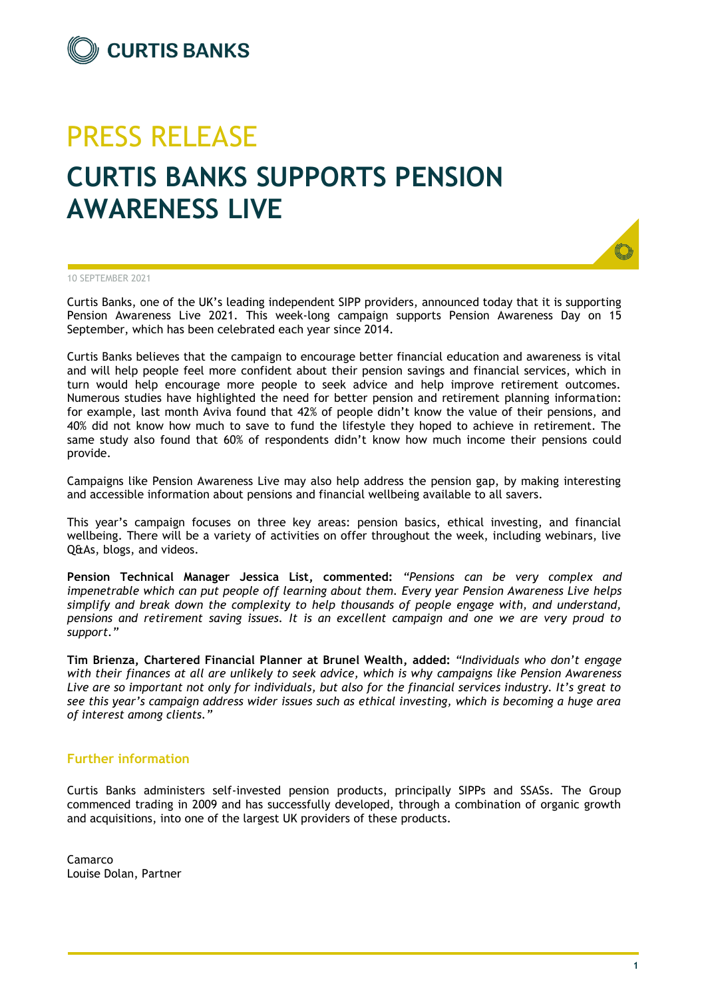## PRESS RELEASE **CURTIS BANKS SUPPORTS PENSION AWARENESS LIVE**



10 SEPTEMBER 2021

Curtis Banks, one of the UK's leading independent SIPP providers, announced today that it is supporting Pension Awareness Live 2021. This week-long campaign supports Pension Awareness Day on 15 September, which has been celebrated each year since 2014.

Curtis Banks believes that the campaign to encourage better financial education and awareness is vital and will help people feel more confident about their pension savings and financial services, which in turn would help encourage more people to seek advice and help improve retirement outcomes. Numerous studies have highlighted the need for better pension and retirement planning information: for example, last month Aviva found that 42% of people didn't know the value of their pensions, and 40% did not know how much to save to fund the lifestyle they hoped to achieve in retirement. The same study also found that 60% of respondents didn't know how much income their pensions could provide.

Campaigns like Pension Awareness Live may also help address the pension gap, by making interesting and accessible information about pensions and financial wellbeing available to all savers.

This year's campaign focuses on three key areas: pension basics, ethical investing, and financial wellbeing. There will be a variety of activities on offer throughout the week, including webinars, live Q&As, blogs, and videos.

**Pension Technical Manager Jessica List, commented:** *"Pensions can be very complex and impenetrable which can put people off learning about them. Every year Pension Awareness Live helps simplify and break down the complexity to help thousands of people engage with, and understand, pensions and retirement saving issues. It is an excellent campaign and one we are very proud to support."*

**Tim Brienza, Chartered Financial Planner at Brunel Wealth, added:** *"Individuals who don't engage with their finances at all are unlikely to seek advice, which is why campaigns like Pension Awareness Live are so important not only for individuals, but also for the financial services industry. It's great to see this year's campaign address wider issues such as ethical investing, which is becoming a huge area of interest among clients."*

## **Further information**

Curtis Banks administers self-invested pension products, principally SIPPs and SSASs. The Group commenced trading in 2009 and has successfully developed, through a combination of organic growth and acquisitions, into one of the largest UK providers of these products.

Camarco Louise Dolan, Partner